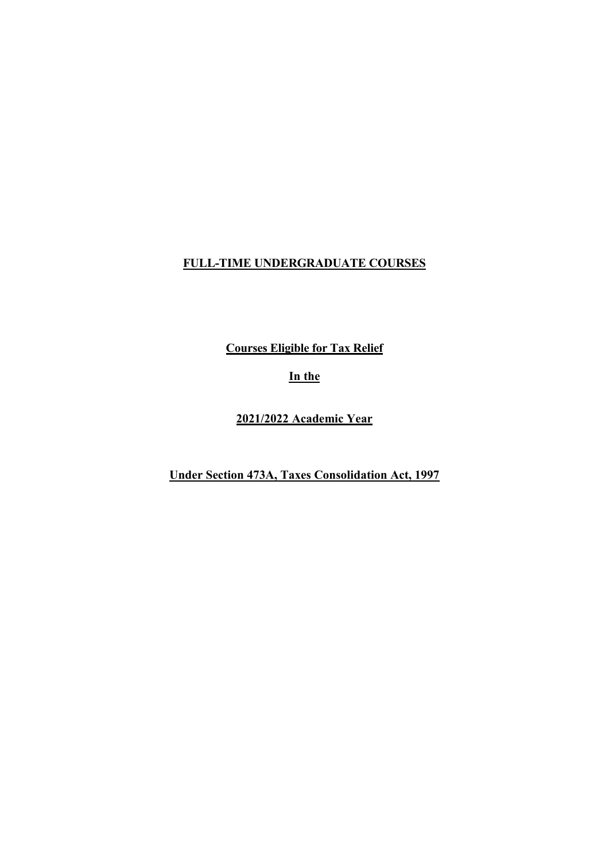# **FULL-TIME UNDERGRADUATE COURSES**

**Courses Eligible for Tax Relief**

**In the**

**2021/2022 Academic Year** 

**Under Section 473A, Taxes Consolidation Act, 1997**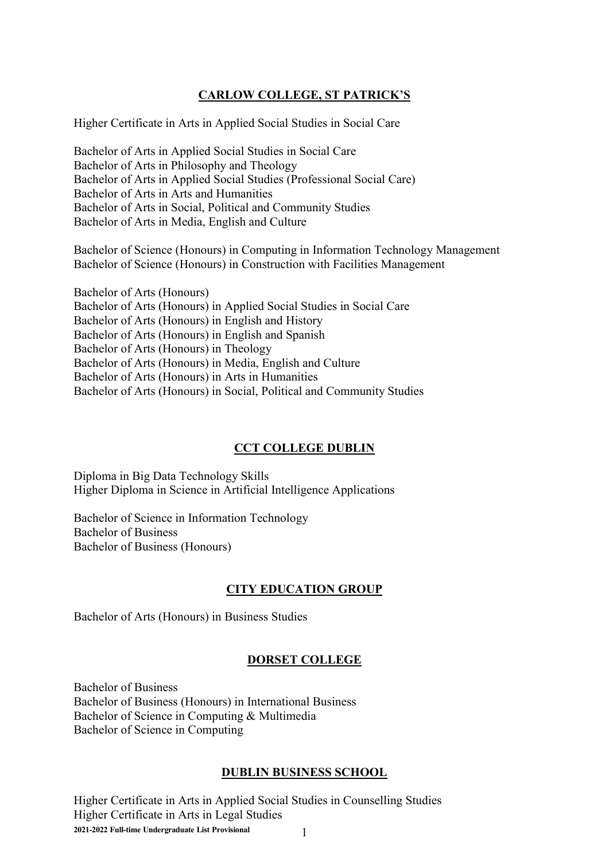### **CARLOW COLLEGE, ST PATRICK'S**

Higher Certificate in Arts in Applied Social Studies in Social Care

Bachelor of Arts in Applied Social Studies in Social Care Bachelor of Arts in Philosophy and Theology Bachelor of Arts in Applied Social Studies (Professional Social Care) Bachelor of Arts in Arts and Humanities Bachelor of Arts in Social, Political and Community Studies Bachelor of Arts in Media, English and Culture

Bachelor of Science (Honours) in Computing in Information Technology Management Bachelor of Science (Honours) in Construction with Facilities Management

Bachelor of Arts (Honours) Bachelor of Arts (Honours) in Applied Social Studies in Social Care Bachelor of Arts (Honours) in English and History Bachelor of Arts (Honours) in English and Spanish Bachelor of Arts (Honours) in Theology Bachelor of Arts (Honours) in Media, English and Culture Bachelor of Arts (Honours) in Arts in Humanities Bachelor of Arts (Honours) in Social, Political and Community Studies

# **CCT COLLEGE DUBLIN**

Diploma in Big Data Technology Skills Higher Diploma in Science in Artificial Intelligence Applications

Bachelor of Science in Information Technology Bachelor of Business Bachelor of Business (Honours)

### **CITY EDUCATION GROUP**

Bachelor of Arts (Honours) in Business Studies

### **DORSET COLLEGE**

Bachelor of Business Bachelor of Business (Honours) in International Business Bachelor of Science in Computing & Multimedia Bachelor of Science in Computing

### **DUBLIN BUSINESS SCHOOL**

**2021-2022 Full-time Undergraduate List Provisional** 1 Higher Certificate in Arts in Applied Social Studies in Counselling Studies Higher Certificate in Arts in Legal Studies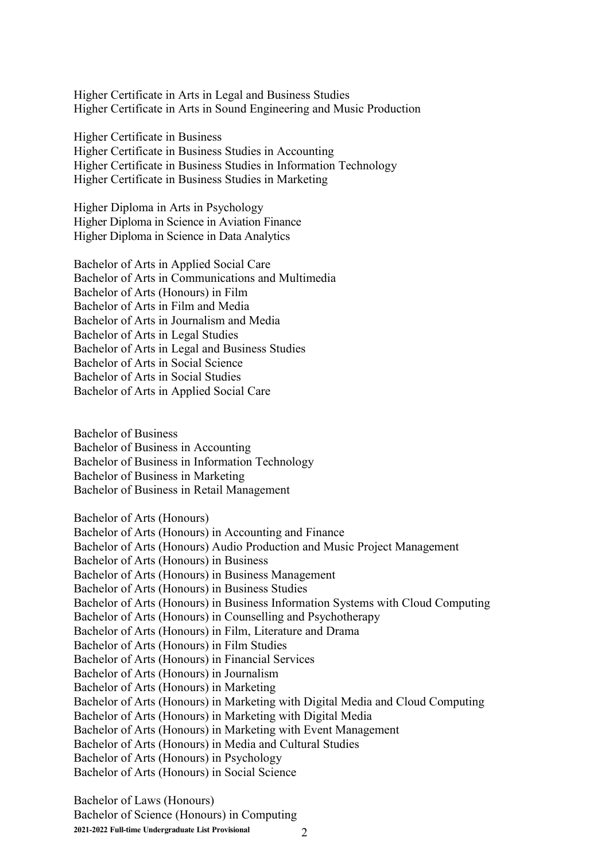Higher Certificate in Arts in Legal and Business Studies Higher Certificate in Arts in Sound Engineering and Music Production

Higher Certificate in Business Higher Certificate in Business Studies in Accounting Higher Certificate in Business Studies in Information Technology Higher Certificate in Business Studies in Marketing

Higher Diploma in Arts in Psychology Higher Diploma in Science in Aviation Finance Higher Diploma in Science in Data Analytics

Bachelor of Arts in Applied Social Care Bachelor of Arts in Communications and Multimedia Bachelor of Arts (Honours) in Film Bachelor of Arts in Film and Media Bachelor of Arts in Journalism and Media Bachelor of Arts in Legal Studies Bachelor of Arts in Legal and Business Studies Bachelor of Arts in Social Science Bachelor of Arts in Social Studies Bachelor of Arts in Applied Social Care

Bachelor of Business Bachelor of Business in Accounting Bachelor of Business in Information Technology Bachelor of Business in Marketing Bachelor of Business in Retail Management

Bachelor of Arts (Honours) Bachelor of Arts (Honours) in Accounting and Finance Bachelor of Arts (Honours) Audio Production and Music Project Management Bachelor of Arts (Honours) in Business Bachelor of Arts (Honours) in Business Management Bachelor of Arts (Honours) in Business Studies Bachelor of Arts (Honours) in Business Information Systems with Cloud Computing Bachelor of Arts (Honours) in Counselling and Psychotherapy Bachelor of Arts (Honours) in Film, Literature and Drama Bachelor of Arts (Honours) in Film Studies Bachelor of Arts (Honours) in Financial Services Bachelor of Arts (Honours) in Journalism Bachelor of Arts (Honours) in Marketing Bachelor of Arts (Honours) in Marketing with Digital Media and Cloud Computing Bachelor of Arts (Honours) in Marketing with Digital Media Bachelor of Arts (Honours) in Marketing with Event Management Bachelor of Arts (Honours) in Media and Cultural Studies Bachelor of Arts (Honours) in Psychology Bachelor of Arts (Honours) in Social Science

**2021-2022 Full-time Undergraduate List Provisional** 2 Bachelor of Laws (Honours) Bachelor of Science (Honours) in Computing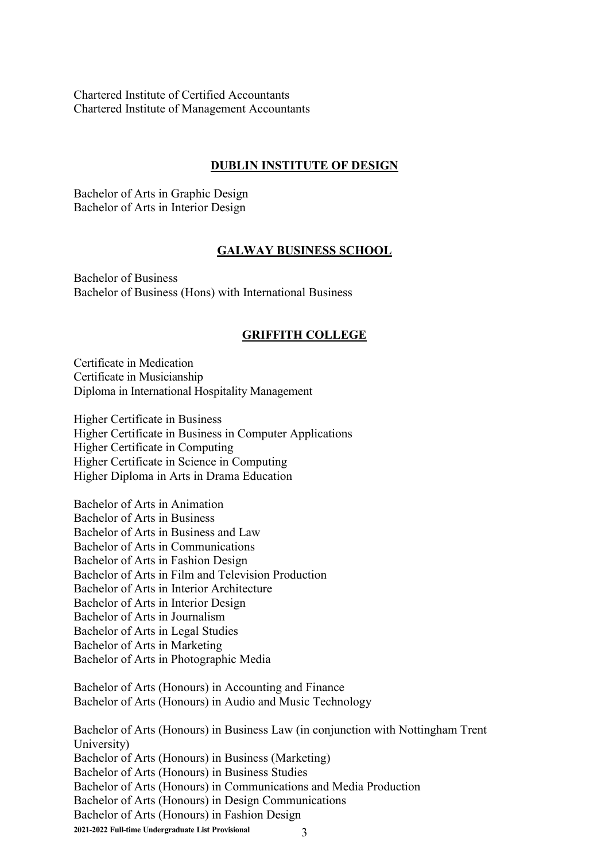Chartered Institute of Certified Accountants Chartered Institute of Management Accountants

#### **DUBLIN INSTITUTE OF DESIGN**

Bachelor of Arts in Graphic Design Bachelor of Arts in Interior Design

#### **GALWAY BUSINESS SCHOOL**

Bachelor of Business Bachelor of Business (Hons) with International Business

#### **GRIFFITH COLLEGE**

Certificate in Medication Certificate in Musicianship Diploma in International Hospitality Management

Higher Certificate in Business Higher Certificate in Business in Computer Applications Higher Certificate in Computing Higher Certificate in Science in Computing Higher Diploma in Arts in Drama Education

Bachelor of Arts in Animation Bachelor of Arts in Business Bachelor of Arts in Business and Law Bachelor of Arts in Communications Bachelor of Arts in Fashion Design Bachelor of Arts in Film and Television Production Bachelor of Arts in Interior Architecture Bachelor of Arts in Interior Design Bachelor of Arts in Journalism Bachelor of Arts in Legal Studies Bachelor of Arts in Marketing Bachelor of Arts in Photographic Media

Bachelor of Arts (Honours) in Accounting and Finance Bachelor of Arts (Honours) in Audio and Music Technology

**2021-2022 Full-time Undergraduate List Provisional** 3 Bachelor of Arts (Honours) in Business Law (in conjunction with Nottingham Trent University) Bachelor of Arts (Honours) in Business (Marketing) Bachelor of Arts (Honours) in Business Studies Bachelor of Arts (Honours) in Communications and Media Production Bachelor of Arts (Honours) in Design Communications Bachelor of Arts (Honours) in Fashion Design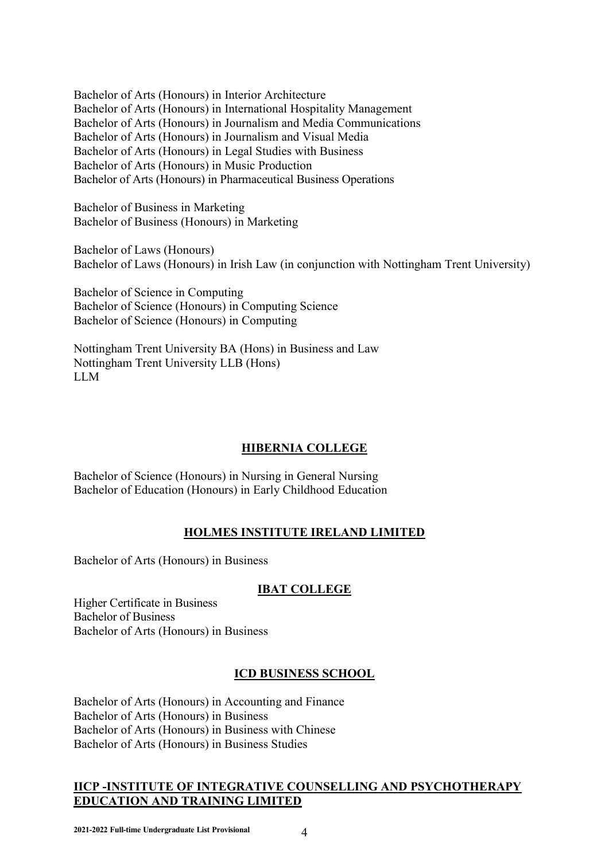Bachelor of Arts (Honours) in Interior Architecture Bachelor of Arts (Honours) in International Hospitality Management Bachelor of Arts (Honours) in Journalism and Media Communications Bachelor of Arts (Honours) in Journalism and Visual Media Bachelor of Arts (Honours) in Legal Studies with Business Bachelor of Arts (Honours) in Music Production Bachelor of Arts (Honours) in Pharmaceutical Business Operations

Bachelor of Business in Marketing Bachelor of Business (Honours) in Marketing

Bachelor of Laws (Honours) Bachelor of Laws (Honours) in Irish Law (in conjunction with Nottingham Trent University)

Bachelor of Science in Computing Bachelor of Science (Honours) in Computing Science Bachelor of Science (Honours) in Computing

Nottingham Trent University BA (Hons) in Business and Law Nottingham Trent University LLB (Hons) LLM

# **HIBERNIA COLLEGE**

Bachelor of Science (Honours) in Nursing in General Nursing Bachelor of Education (Honours) in Early Childhood Education

# **HOLMES INSTITUTE IRELAND LIMITED**

Bachelor of Arts (Honours) in Business

### **IBAT COLLEGE**

Higher Certificate in Business Bachelor of Business Bachelor of Arts (Honours) in Business

# **ICD BUSINESS SCHOOL**

Bachelor of Arts (Honours) in Accounting and Finance Bachelor of Arts (Honours) in Business Bachelor of Arts (Honours) in Business with Chinese Bachelor of Arts (Honours) in Business Studies

### **IICP -INSTITUTE OF INTEGRATIVE COUNSELLING AND PSYCHOTHERAPY EDUCATION AND TRAINING LIMITED**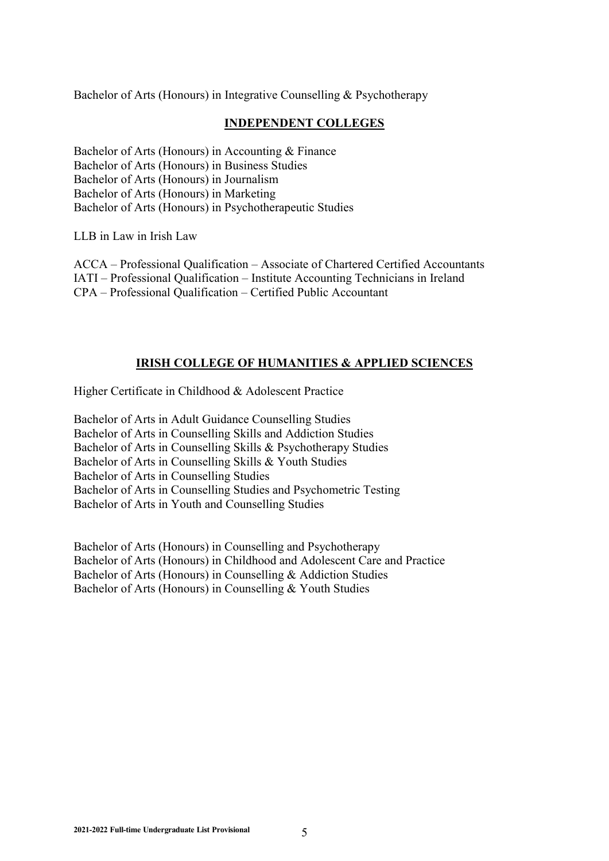Bachelor of Arts (Honours) in Integrative Counselling & Psychotherapy

#### **INDEPENDENT COLLEGES**

Bachelor of Arts (Honours) in Accounting & Finance Bachelor of Arts (Honours) in Business Studies Bachelor of Arts (Honours) in Journalism Bachelor of Arts (Honours) in Marketing Bachelor of Arts (Honours) in Psychotherapeutic Studies

LLB in Law in Irish Law

ACCA – Professional Qualification – Associate of Chartered Certified Accountants IATI – Professional Qualification – Institute Accounting Technicians in Ireland CPA – Professional Qualification – Certified Public Accountant

### **IRISH COLLEGE OF HUMANITIES & APPLIED SCIENCES**

Higher Certificate in Childhood & Adolescent Practice

Bachelor of Arts in Adult Guidance Counselling Studies Bachelor of Arts in Counselling Skills and Addiction Studies Bachelor of Arts in Counselling Skills & Psychotherapy Studies Bachelor of Arts in Counselling Skills & Youth Studies Bachelor of Arts in Counselling Studies Bachelor of Arts in Counselling Studies and Psychometric Testing Bachelor of Arts in Youth and Counselling Studies

Bachelor of Arts (Honours) in Counselling and Psychotherapy Bachelor of Arts (Honours) in Childhood and Adolescent Care and Practice Bachelor of Arts (Honours) in Counselling & Addiction Studies Bachelor of Arts (Honours) in Counselling & Youth Studies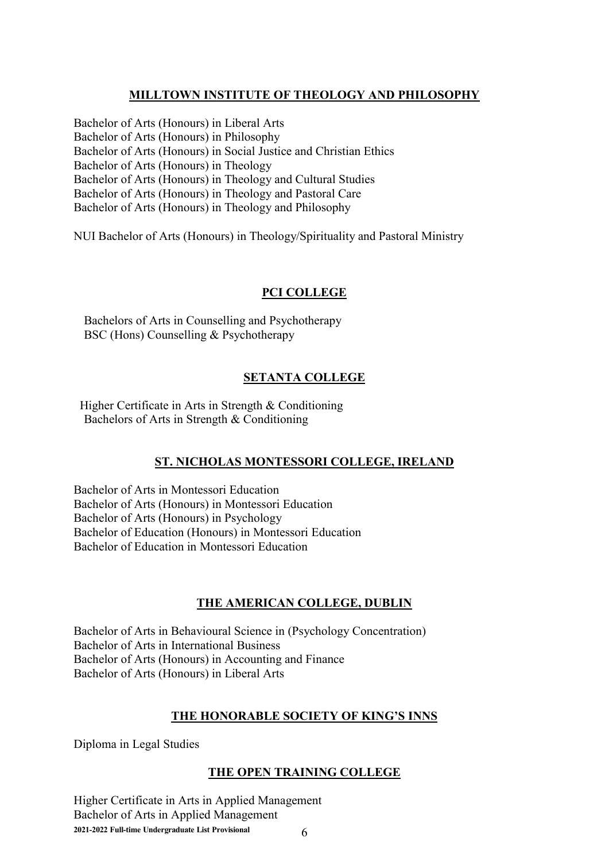### **MILLTOWN INSTITUTE OF THEOLOGY AND PHILOSOPHY**

Bachelor of Arts (Honours) in Liberal Arts Bachelor of Arts (Honours) in Philosophy Bachelor of Arts (Honours) in Social Justice and Christian Ethics Bachelor of Arts (Honours) in Theology Bachelor of Arts (Honours) in Theology and Cultural Studies Bachelor of Arts (Honours) in Theology and Pastoral Care Bachelor of Arts (Honours) in Theology and Philosophy

NUI Bachelor of Arts (Honours) in Theology/Spirituality and Pastoral Ministry

#### **PCI COLLEGE**

Bachelors of Arts in Counselling and Psychotherapy BSC (Hons) Counselling & Psychotherapy

### **SETANTA COLLEGE**

 Higher Certificate in Arts in Strength & Conditioning Bachelors of Arts in Strength & Conditioning

### **ST. NICHOLAS MONTESSORI COLLEGE, IRELAND**

Bachelor of Arts in Montessori Education Bachelor of Arts (Honours) in Montessori Education Bachelor of Arts (Honours) in Psychology Bachelor of Education (Honours) in Montessori Education Bachelor of Education in Montessori Education

### **THE AMERICAN COLLEGE, DUBLIN**

Bachelor of Arts in Behavioural Science in (Psychology Concentration) Bachelor of Arts in International Business Bachelor of Arts (Honours) in Accounting and Finance Bachelor of Arts (Honours) in Liberal Arts

### **THE HONORABLE SOCIETY OF KING'S INNS**

Diploma in Legal Studies

### **THE OPEN TRAINING COLLEGE**

**2021-2022 Full-time Undergraduate List Provisional** 6 Higher Certificate in Arts in Applied Management Bachelor of Arts in Applied Management